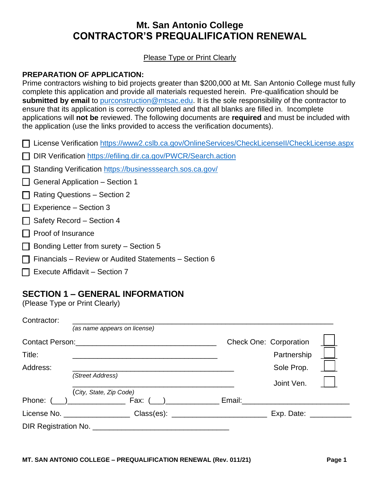# **Mt. San Antonio College CONTRACTOR'S PREQUALIFICATION RENEWAL**

### Please Type or Print Clearly

### **PREPARATION OF APPLICATION:**

 the application (use the links provided to access the verification documents). Prime contractors wishing to bid projects greater than \$200,000 at Mt. San Antonio College must fully complete this application and provide all materials requested herein. Pre-qualification should be **submitted by email** to [purconstruction@mtsac.edu.](mailto:purconstruction@mtsac.edu) It is the sole responsibility of the contractor to ensure that its application is correctly completed and that all blanks are filled in. Incomplete applications will **not be** reviewed. The following documents are **required** and must be included with

| □ License Verification https://www2.cslb.ca.gov/OnlineServices/CheckLicenseII/CheckLicense.aspx |
|-------------------------------------------------------------------------------------------------|
|-------------------------------------------------------------------------------------------------|

DIR Verification https://efiling.dir.ca.gov/PWCR/Search.action

| Standing Verification https://businesssearch.sos.ca.gov/ |
|----------------------------------------------------------|
|----------------------------------------------------------|

 $\Box$  General Application – Section 1

 $\Box$  Rating Questions – Section 2

- $\Box$  Experience Section 3
- $\Box$  Safety Record Section 4
- $\Box$  Proof of Insurance
- $\Box$  Bonding Letter from surety Section 5
- $\Box$  Financials Review or Audited Statements Section 6
- $\Box$  Execute Affidavit Section 7

# **SECTION 1 – GENERAL INFORMATION**

(Please Type or Print Clearly)

| Contractor: |                              |                                                                                  |                               |  |
|-------------|------------------------------|----------------------------------------------------------------------------------|-------------------------------|--|
|             | (as name appears on license) |                                                                                  |                               |  |
|             |                              |                                                                                  | <b>Check One: Corporation</b> |  |
| Title:      |                              |                                                                                  | Partnership                   |  |
| Address:    |                              |                                                                                  | Sole Prop.                    |  |
|             | (Street Address)             |                                                                                  | Joint Ven.                    |  |
|             | (City, State, Zip Code)      |                                                                                  |                               |  |
|             | Phone: $($ $)$ Fax: $($ $)$  |                                                                                  |                               |  |
|             |                              | License No. __________________________Class(es): _______________________________ | $Exp.$ Date: $\_\_$           |  |
|             | DIR Registration No.         |                                                                                  |                               |  |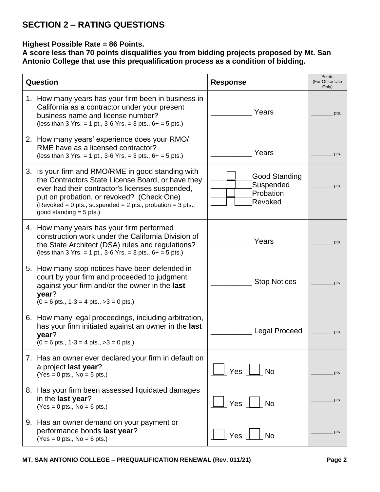# **SECTION 2 – RATING QUESTIONS**

## **Highest Possible Rate = 86 Points.**

**A score less than 70 points disqualifies you from bidding projects proposed by Mt. San Antonio College that use this prequalification process as a condition of bidding.** 

| Question                                                                                                                                                                                                                                                                                              | <b>Response</b>                                    | Points<br>(For Office Use<br>Only) |
|-------------------------------------------------------------------------------------------------------------------------------------------------------------------------------------------------------------------------------------------------------------------------------------------------------|----------------------------------------------------|------------------------------------|
| 1. How many years has your firm been in business in<br>California as a contractor under your present<br>business name and license number?<br>(less than 3 Yrs. = 1 pt., 3-6 Yrs. = 3 pts., $6+$ = 5 pts.)                                                                                             | Years                                              | pts.                               |
| 2. How many years' experience does your RMO/<br>RME have as a licensed contractor?<br>(less than 3 Yrs. = 1 pt., 3-6 Yrs. = 3 pts., $6+$ = 5 pts.)                                                                                                                                                    | Years                                              | pts.                               |
| 3. Is your firm and RMO/RME in good standing with<br>the Contractors State License Board, or have they<br>ever had their contractor's licenses suspended,<br>put on probation, or revoked? (Check One)<br>(Revoked = 0 pts., suspended = $2$ pts., probation = $3$ pts.,<br>good standing $= 5$ pts.) | Good Standing<br>Suspended<br>Probation<br>Revoked | pts.                               |
| 4. How many years has your firm performed<br>construction work under the California Division of<br>the State Architect (DSA) rules and regulations?<br>(less than 3 Yrs. = 1 pt., 3-6 Yrs. = 3 pts., $6+$ = 5 pts.)                                                                                   | Years                                              | pts                                |
| 5. How many stop notices have been defended in<br>court by your firm and proceeded to judgment<br>against your firm and/or the owner in the last<br>year?<br>$(0 = 6 \text{ pts.}, 1-3 = 4 \text{ pts.}, >3 = 0 \text{ pts.})$                                                                        | <b>Stop Notices</b>                                | pts                                |
| 6. How many legal proceedings, including arbitration,<br>has your firm initiated against an owner in the last<br>year?<br>$(0 = 6 \text{ pts.}, 1-3 = 4 \text{ pts.}, >3 = 0 \text{ pts.})$                                                                                                           | <b>Legal Proceed</b>                               | pts                                |
| 7. Has an owner ever declared your firm in default on<br>a project last year?<br>$(Yes = 0 pts., No = 5 pts.)$                                                                                                                                                                                        | Yes<br>$\Box$ No                                   | pts                                |
| 8. Has your firm been assessed liquidated damages<br>in the last year?<br>$(Yes = 0 pts., No = 6 pts.)$                                                                                                                                                                                               | Yes<br><b>No</b>                                   | pts                                |
| 9. Has an owner demand on your payment or<br>performance bonds last year?<br>$(Yes = 0 pts., No = 6 pts.)$                                                                                                                                                                                            | Yes<br><b>No</b>                                   | pts                                |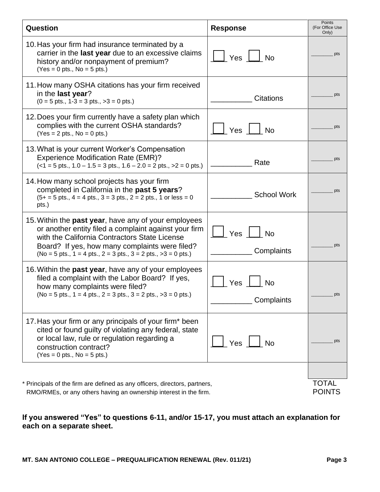| Question                                                                                                                                                                                                                                                                             | <b>Response</b>                | Points<br>(For Office Use<br>Only) |
|--------------------------------------------------------------------------------------------------------------------------------------------------------------------------------------------------------------------------------------------------------------------------------------|--------------------------------|------------------------------------|
| 10. Has your firm had insurance terminated by a<br>carrier in the last year due to an excessive claims<br>history and/or nonpayment of premium?<br>$(Yes = 0 pts., No = 5 pts.)$                                                                                                     | Yes<br><b>No</b>               | pts                                |
| 11. How many OSHA citations has your firm received<br>in the last year?<br>$(0 = 5 \text{ pts.}, 1 - 3 = 3 \text{ pts.}, >3 = 0 \text{ pts.})$                                                                                                                                       | <b>Citations</b>               | pts                                |
| 12. Does your firm currently have a safety plan which<br>complies with the current OSHA standards?<br>$(Yes = 2 pts., No = 0 pts.)$                                                                                                                                                  | Yes<br><b>No</b>               | pts                                |
| 13. What is your current Worker's Compensation<br><b>Experience Modification Rate (EMR)?</b><br>$(<1 = 5$ pts., $1.0 - 1.5 = 3$ pts., $1.6 - 2.0 = 2$ pts., $>2 = 0$ pts.)                                                                                                           | Rate                           | pts                                |
| 14. How many school projects has your firm<br>completed in California in the past 5 years?<br>$(5+ = 5 \text{ pts.}, 4 = 4 \text{ pts.}, 3 = 3 \text{ pts.}, 2 = 2 \text{ pts.}, 1 \text{ or less } = 0$<br>pts.)                                                                    | <b>School Work</b>             | pts                                |
| 15. Within the past year, have any of your employees<br>or another entity filed a complaint against your firm<br>with the California Contractors State License<br>Board? If yes, how many complaints were filed?<br>$(No = 5 pts., 1 = 4 pts., 2 = 3 pts., 3 = 2 pts., >3 = 0 pts.)$ | Yes No<br>Complaints           | pts                                |
| 16. Within the past year, have any of your employees<br>filed a complaint with the Labor Board? If yes,<br>how many complaints were filed?<br>$(No = 5 pts., 1 = 4 pts., 2 = 3 pts., 3 = 2 pts., >3 = 0 pts.)$                                                                       | Yes<br><b>No</b><br>Complaints | pts                                |
| 17. Has your firm or any principals of your firm* been<br>cited or found guilty of violating any federal, state<br>or local law, rule or regulation regarding a<br>construction contract?<br>$(Yes = 0 pts., No = 5 pts.)$                                                           | Yes $\Box$ No                  | pts                                |
| * Principals of the firm are defined as any officers, directors, partners,<br>RMO/RMEs, or any others having an ownership interest in the firm.                                                                                                                                      |                                | <b>TOTAL</b><br><b>POINTS</b>      |

## **If you answered "Yes" to questions 6-11, and/or 15-17, you must attach an explanation for each on a separate sheet.**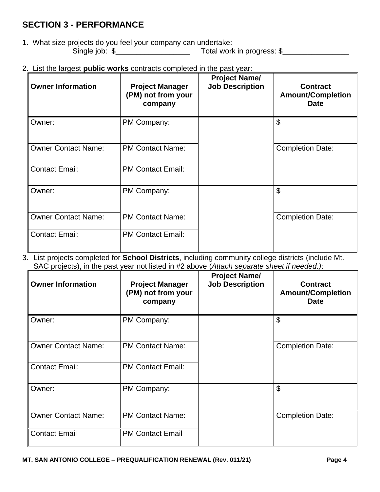# **SECTION 3 - PERFORMANCE**

1. What size projects do you feel your company can undertake: Single job: \$\_\_\_\_\_\_\_\_\_\_\_\_\_\_\_\_\_\_ Total work in progress: \$\_\_\_\_\_\_\_\_\_\_\_\_\_\_\_\_

2. List the largest **public works** contracts completed in the past year:

| <b>Owner Information</b><br><b>Project Manager</b><br>(PM) not from your<br>company |                          | <b>Project Name/</b><br><b>Job Description</b> | <b>Contract</b><br><b>Amount/Completion</b><br><b>Date</b> |
|-------------------------------------------------------------------------------------|--------------------------|------------------------------------------------|------------------------------------------------------------|
| Owner:                                                                              | PM Company:              |                                                | \$                                                         |
| <b>Owner Contact Name:</b>                                                          | <b>PM Contact Name:</b>  |                                                | <b>Completion Date:</b>                                    |
| <b>Contact Email:</b>                                                               | <b>PM Contact Email:</b> |                                                |                                                            |
| Owner:                                                                              | PM Company:              |                                                | \$                                                         |
| <b>Owner Contact Name:</b>                                                          | <b>PM Contact Name:</b>  |                                                | <b>Completion Date:</b>                                    |
| <b>Contact Email:</b>                                                               | <b>PM Contact Email:</b> |                                                |                                                            |

3. List projects completed for **School Districts**, including community college districts (include Mt. SAC projects), in the past year not listed in #2 above (*Attach separate sheet if needed.)*:

| <b>Owner Information</b>   | <b>Project Manager</b><br>(PM) not from your<br>company | <b>Project Name/</b><br><b>Job Description</b> | <b>Contract</b><br><b>Amount/Completion</b><br><b>Date</b> |  |  |
|----------------------------|---------------------------------------------------------|------------------------------------------------|------------------------------------------------------------|--|--|
| Owner:                     | PM Company:                                             |                                                | \$                                                         |  |  |
| <b>Owner Contact Name:</b> | <b>PM Contact Name:</b>                                 |                                                | <b>Completion Date:</b>                                    |  |  |
| <b>Contact Email:</b>      | <b>PM Contact Email:</b>                                |                                                |                                                            |  |  |
| Owner:                     | PM Company:                                             |                                                | \$                                                         |  |  |
| <b>Owner Contact Name:</b> | <b>PM Contact Name:</b>                                 |                                                | <b>Completion Date:</b>                                    |  |  |
| <b>Contact Email</b>       | <b>PM Contact Email</b>                                 |                                                |                                                            |  |  |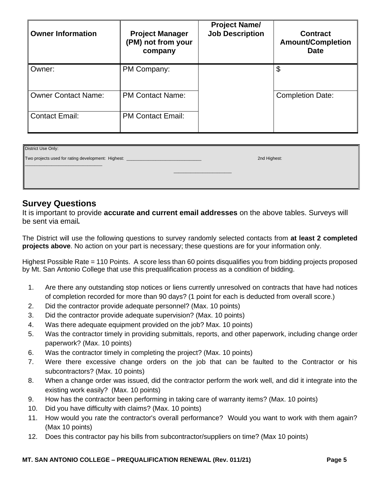| <b>Owner Information</b>   | <b>Project Manager</b><br>(PM) not from your<br>company | <b>Project Name/</b><br><b>Job Description</b> | <b>Contract</b><br><b>Amount/Completion</b><br><b>Date</b> |
|----------------------------|---------------------------------------------------------|------------------------------------------------|------------------------------------------------------------|
| Owner:                     | PM Company:                                             |                                                | \$                                                         |
| <b>Owner Contact Name:</b> | <b>PM Contact Name:</b>                                 |                                                | <b>Completion Date:</b>                                    |
| <b>Contact Email:</b>      | <b>PM Contact Email:</b>                                |                                                |                                                            |

| District Use Only:                                 |              |
|----------------------------------------------------|--------------|
| Two projects used for rating development: Highest: | 2nd Highest: |
|                                                    |              |
|                                                    |              |
|                                                    |              |

## **Survey Questions**

It is important to provide **accurate and current email addresses** on the above tables. Surveys will be sent via email*.* 

 The District will use the following questions to survey randomly selected contacts from **at least 2 completed projects above**. No action on your part is necessary; these questions are for your information only.

 Highest Possible Rate = 110 Points. A score less than 60 points disqualifies you from bidding projects proposed by Mt. San Antonio College that use this prequalification process as a condition of bidding.

- 1. Are there any outstanding stop notices or liens currently unresolved on contracts that have had notices of completion recorded for more than 90 days? (1 point for each is deducted from overall score.)
- 2. Did the contractor provide adequate personnel? (Max. 10 points)
- 3. Did the contractor provide adequate supervision? (Max. 10 points)
- 4. Was there adequate equipment provided on the job? Max. 10 points)
- 5. Was the contractor timely in providing submittals, reports, and other paperwork, including change order paperwork? (Max. 10 points)
- 6. Was the contractor timely in completing the project? (Max. 10 points)
- 7. Were there excessive change orders on the job that can be faulted to the Contractor or his subcontractors? (Max. 10 points)
- 8. When a change order was issued, did the contractor perform the work well, and did it integrate into the existing work easily? (Max. 10 points)
- 9. How has the contractor been performing in taking care of warranty items? (Max. 10 points)
- 10. Did you have difficulty with claims? (Max. 10 points)
- 11. How would you rate the contractor's overall performance? Would you want to work with them again? (Max 10 points)
- 12. Does this contractor pay his bills from subcontractor/suppliers on time? (Max 10 points)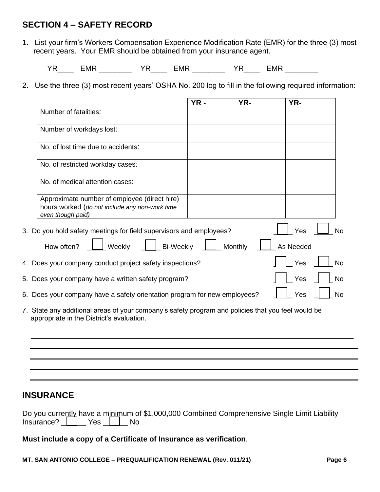# **SECTION 4 – SAFETY RECORD**

1. List your firm's Workers Compensation Experience Modification Rate (EMR) for the three (3) most recent years. Your EMR should be obtained from your insurance agent.

YR\_\_\_\_ EMR \_\_\_\_\_\_\_\_ YR\_\_\_\_ EMR \_\_\_\_\_\_\_\_ YR\_\_\_\_ EMR \_\_\_\_\_\_\_\_

2. Use the three (3) most recent years' OSHA No. 200 log to fill in the following required information:

|                                                                                                                     | $YR -$ | YR-     | YR-       |           |
|---------------------------------------------------------------------------------------------------------------------|--------|---------|-----------|-----------|
| Number of fatalities:                                                                                               |        |         |           |           |
| Number of workdays lost:                                                                                            |        |         |           |           |
| No. of lost time due to accidents:                                                                                  |        |         |           |           |
| No. of restricted workday cases:                                                                                    |        |         |           |           |
| No. of medical attention cases:                                                                                     |        |         |           |           |
| Approximate number of employee (direct hire)<br>hours worked (do not include any non-work time<br>even though paid) |        |         |           |           |
| 3. Do you hold safety meetings for field supervisors and employees?                                                 |        |         | Yes       | No        |
| How often?<br><b>Bi-Weekly</b><br>Weekly                                                                            |        | Monthly | As Needed |           |
| 4. Does your company conduct project safety inspections?                                                            |        |         | Yes       | <b>No</b> |
| 5. Does your company have a written safety program?                                                                 |        |         | Yes       | <b>No</b> |
| 6. Does your company have a safety orientation program for new employees?                                           |        |         | Yes       | <b>No</b> |
|                                                                                                                     |        |         |           |           |

 7. State any additional areas of your company's safety program and policies that you feel would be appropriate in the District's evaluation.

**\_\_\_\_\_\_\_\_\_\_\_\_\_\_\_\_\_\_\_\_\_\_\_\_\_\_\_\_\_\_\_\_\_\_\_\_\_\_\_\_\_\_\_\_\_\_\_\_\_\_\_\_\_\_\_\_\_\_\_\_\_\_\_\_\_\_\_\_\_\_\_\_\_\_\_\_\_\_** 

# **INSURANCE**

|                           |  | Do you currently have a minimum of \$1,000,000 Combined Comprehensive Single Limit Liability |  |
|---------------------------|--|----------------------------------------------------------------------------------------------|--|
| Insurance?     Yes     No |  |                                                                                              |  |

 **Must include a copy of a Certificate of Insurance as verification**.

 **MT. SAN ANTONIO COLLEGE – PREQUALIFICATION RENEWAL (Rev. 011/21) Page 6**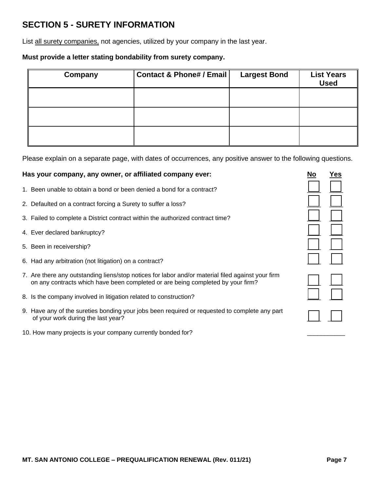# **SECTION 5 - SURETY INFORMATION**

List all surety companies, not agencies, utilized by your company in the last year.

#### **Must provide a letter stating bondability from surety company.**

| Company | <b>Contact &amp; Phone# / Email</b> | <b>Largest Bond</b> | <b>List Years</b><br><b>Used</b> |
|---------|-------------------------------------|---------------------|----------------------------------|
|         |                                     |                     |                                  |
|         |                                     |                     |                                  |
|         |                                     |                     |                                  |

Please explain on a separate page, with dates of occurrences, any positive answer to the following questions.

#### Has your company, any owner, or affiliated company ever: No No Yes

- 1. Been unable to obtain a bond or been denied a bond for a contract?
- 2. Defaulted on a contract forcing a Surety to suffer a loss?
- 3. Failed to complete a District contract within the authorized contract time?
- 4. Ever declared bankruptcy?
- 5. Been in receivership?
- 6. Had any arbitration (not litigation) on a contract?
- 7. Are there any outstanding liens/stop notices for labor and/or material filed against your firm on any contracts which have been completed or are being completed by your firm?
- 8. Is the company involved in litigation related to construction?
- 9. Have any of the sureties bonding your jobs been required or requested to complete any part of your work during the last year?
- 10. How many projects is your company currently bonded for?

|                          | wirig questio                          |
|--------------------------|----------------------------------------|
| <u>No</u>                | Yes                                    |
| $\Box$                   | $\Box$                                 |
| $\overline{\phantom{a}}$ | $\mathcal{L}_{\mathcal{A}}$            |
| $\mathsf{L}$             | $\vert \ \ \vert$                      |
| $\Box$                   | $\mathbf{E}$<br>$\mathcal{L}$          |
| $\Box$                   | $\mathbb{R}^2$<br>$\mathcal{L}$        |
| $\Box$                   | $\sqrt{2}$<br>$\overline{\phantom{a}}$ |
|                          |                                        |
| $\mathcal{L}$            |                                        |
| $\bigl\lceil$            |                                        |
| $\overline{\phantom{a}}$ |                                        |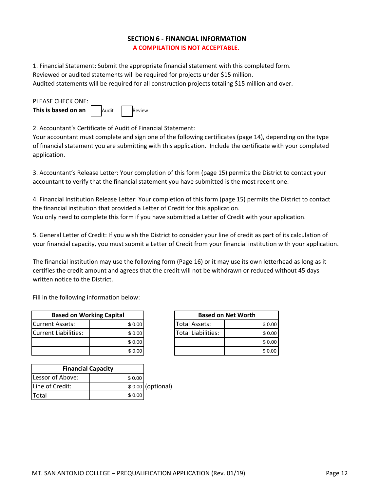### **SECTION 6 ‐ FINANCIAL INFORMATION A COMPILATION IS NOT ACCEPTABLE.**

1. Financial Statement: Submit the appropriate financial statement with this completed form. Reviewed or audited statements will be required for projects under \$15 million. Audited statements will be required for all construction projects totaling \$15 million and over.

| PLEASE CHECK ONE:               |       |        |
|---------------------------------|-------|--------|
| This is based on an $\parallel$ | Audit | Review |

2. Accountant's Certificate of Audit of Financial Statement:

Your accountant must complete and sign one of the following certificates (page 14), depending on the type of financial statement you are submitting with this application. Include the certificate with your completed application.

3. Accountant's Release Letter: Your completion of this form (page 15) permits the District to contact your accountant to verify that the financial statement you have submitted is the most recent one.

4. Financial Institution Release Letter: Your completion of this form (page 15) permits the District to contact the financial institution that provided a Letter of Credit for this application. You only need to complete this form if you have submitted a Letter of Credit with your application.

5. General Letter of Credit: If you wish the District to consider your line of credit as part of its calculation of your financial capacity, you must submit a Letter of Credit from your financial institution with your application.

The financial institution may use the following form (Page 16) or it may use its own letterhead as long as it certifies the credit amount and agrees that the credit will not be withdrawn or reduced without 45 days written notice to the District.

Fill in the following information below:

| <b>Based on Working Capital</b> |        |  |
|---------------------------------|--------|--|
| <b>ICurrent Assets:</b>         | \$0.00 |  |
| Current Liabilities:            | \$0.00 |  |
|                                 | \$0.00 |  |
|                                 | \$0.00 |  |

| <b>Financial Capacity</b> |        |                   |
|---------------------------|--------|-------------------|
| Lessor of Above:          | \$0.00 |                   |
| Line of Credit:           |        | \$0.00 (optional) |
| Total                     | \$0.00 |                   |

|         | <b>Based on Net Worth</b> |  |        |
|---------|---------------------------|--|--------|
| \$ 0.00 | <b>Total Assets:</b>      |  | \$0.00 |
| \$ 0.00 | <b>Total Liabilities:</b> |  | \$0.00 |
| \$ 0.00 |                           |  | \$0.00 |
| \$0.00  |                           |  | \$0.00 |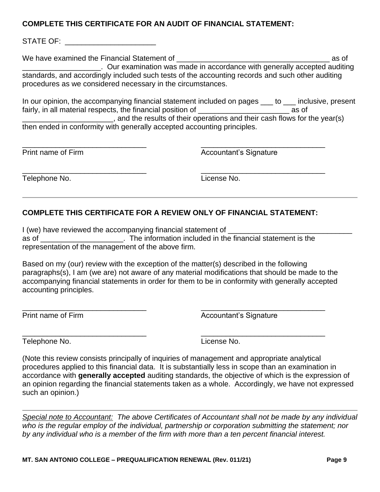## **COMPLETE THIS CERTIFICATE FOR AN AUDIT OF FINANCIAL STATEMENT:**

STATE OF: **Example 20** 

 standards, and accordingly included such tests of the accounting records and such other auditing We have examined the Financial Statement of **with any set of the set of the set of the set of the set of the set of**  $\alpha$ \_\_\_\_\_\_\_\_\_\_\_\_\_\_\_\_\_\_\_. Our examination was made in accordance with generally accepted auditing procedures as we considered necessary in the circumstances.

In our opinion, the accompanying financial statement included on pages  $\_\_$  to  $\_\_$  inclusive, present fairly, in all material respects, the financial position of **Example 2** as of

and the results of their operations and their cash flows for the year(s) then ended in conformity with generally accepted accounting principles.

\_\_\_\_\_\_\_\_\_\_\_\_\_\_\_\_\_\_\_\_\_\_\_\_\_\_\_\_\_\_ \_\_\_\_\_\_\_\_\_\_\_\_\_\_\_\_\_\_\_\_\_\_\_\_\_\_\_\_\_\_ Print name of Firm **Accountant's Signature** Accountant's Signature

Telephone No. License No.

 $\overline{\phantom{a}}$  , and the contract of the contract of the contract of the contract of the contract of the contract of the contract of the contract of the contract of the contract of the contract of the contract of the contrac

## **COMPLETE THIS CERTIFICATE FOR A REVIEW ONLY OF FINANCIAL STATEMENT:**

 as of \_\_\_\_\_\_\_\_\_\_\_\_\_\_\_\_\_\_\_\_. The information included in the financial statement is the I (we) have reviewed the accompanying financial statement of \_\_\_\_\_\_\_\_\_\_\_\_\_\_\_\_\_\_\_ representation of the management of the above firm.

 Based on my (our) review with the exception of the matter(s) described in the following paragraphs(s), I am (we are) not aware of any material modifications that should be made to the accompanying financial statements in order for them to be in conformity with generally accepted accounting principles.

 $\overline{\phantom{a}}$  , and the contract of the contract of the contract of the contract of the contract of the contract of the contract of the contract of the contract of the contract of the contract of the contract of the contrac

Print name of Firm **Accountant's Signature** Accountant's Signature

Telephone No. License No.

 $\overline{\phantom{a}}$  , and the contract of the contract of the contract of the contract of the contract of the contract of the contract of the contract of the contract of the contract of the contract of the contract of the contrac

 an opinion regarding the financial statements taken as a whole. Accordingly, we have not expressed (Note this review consists principally of inquiries of management and appropriate analytical procedures applied to this financial data. It is substantially less in scope than an examination in accordance with **generally accepted** auditing standards, the objective of which is the expression of such an opinion.)

Special note to Accountant: The above Certificates of Accountant shall not be made by any individual who is the regular employ of the individual, partnership or corporation submitting the statement; nor *by any individual who is a member of the firm with more than a ten percent financial interest.*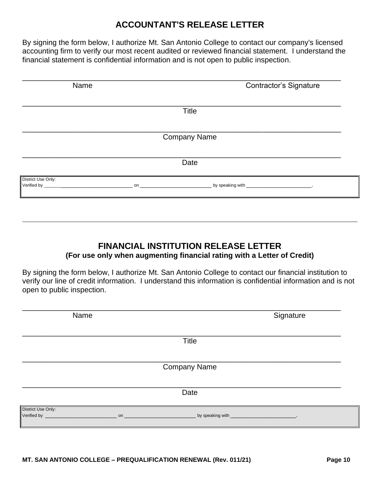# **ACCOUNTANT'S RELEASE LETTER**

 accounting firm to verify our most recent audited or reviewed financial statement. I understand the By signing the form below, I authorize Mt. San Antonio College to contact our company's licensed financial statement is confidential information and is not open to public inspection.

| Name               | <b>Contractor's Signature</b> |
|--------------------|-------------------------------|
|                    | <b>Title</b>                  |
|                    | <b>Company Name</b>           |
|                    | Date                          |
| District Use Only: |                               |

# **FINANCIAL INSTITUTION RELEASE LETTER (For use only when augmenting financial rating with a Letter of Credit)**

 By signing the form below, I authorize Mt. San Antonio College to contact our financial institution to verify our line of credit information. I understand this information is confidential information and is not open to public inspection.

| Name                |  |              | Signature |
|---------------------|--|--------------|-----------|
|                     |  | <b>Title</b> |           |
| <b>Company Name</b> |  |              |           |
|                     |  | Date         |           |
| District Use Only:  |  |              |           |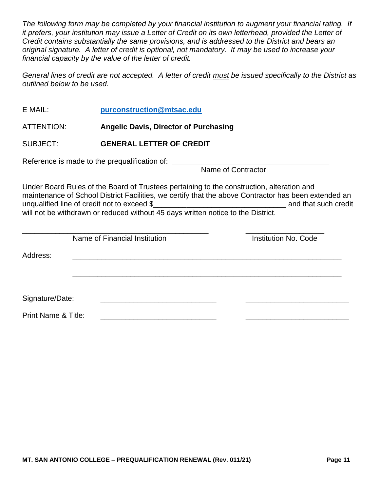*original signature. A letter of credit is optional, not mandatory. It may be used to increase your The following form may be completed by your financial institution to augment your financial rating. If it prefers, your institution may issue a Letter of Credit on its own letterhead, provided the Letter of Credit contains substantially the same provisions, and is addressed to the District and bears an financial capacity by the value of the letter of credit.* 

*General lines of credit are not accepted. A letter of credit must be issued specifically to the District as outlined below to be used.* 

- E MAIL: **[purconstruction@mtsac.edu](mailto:purconstruction@mtsac.edu)**
- ATTENTION: **Angelic Davis, Director of Purchasing**
- SUBJECT: **GENERAL LETTER OF CREDIT**

Reference is made to the prequalification of: \_\_\_\_\_\_\_\_\_\_\_\_\_\_\_\_\_\_\_\_\_\_\_\_\_\_\_\_\_\_\_\_\_\_\_\_\_\_

Name of Contractor

 unqualified line of credit not to exceed \$\_\_\_\_\_\_\_\_\_\_\_\_\_\_\_\_\_\_\_\_\_\_\_\_\_\_\_\_\_\_\_\_ and that such credit will not be withdrawn or reduced without 45 days written notice to the District. Under Board Rules of the Board of Trustees pertaining to the construction, alteration and maintenance of School District Facilities, we certify that the above Contractor has been extended an

|                                | Name of Financial Institution | <b>Institution No. Code</b> |
|--------------------------------|-------------------------------|-----------------------------|
| Address:                       |                               |                             |
|                                |                               |                             |
|                                |                               |                             |
|                                |                               |                             |
| Signature/Date:                |                               |                             |
| <b>Print Name &amp; Title:</b> |                               |                             |